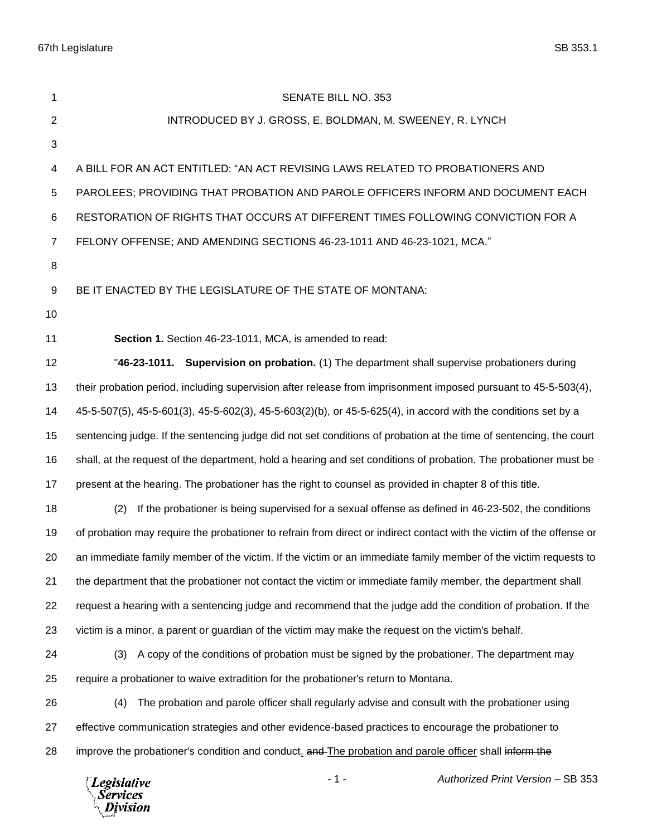67th Legislature SB 353.1

 $\setminus$  Division

| 1                        | <b>SENATE BILL NO. 353</b>                                                                                            |  |  |
|--------------------------|-----------------------------------------------------------------------------------------------------------------------|--|--|
| $\overline{2}$           | INTRODUCED BY J. GROSS, E. BOLDMAN, M. SWEENEY, R. LYNCH                                                              |  |  |
| $\mathfrak{S}$           |                                                                                                                       |  |  |
| $\overline{\mathcal{A}}$ | A BILL FOR AN ACT ENTITLED: "AN ACT REVISING LAWS RELATED TO PROBATIONERS AND                                         |  |  |
| 5                        | PAROLEES; PROVIDING THAT PROBATION AND PAROLE OFFICERS INFORM AND DOCUMENT EACH                                       |  |  |
| 6                        | RESTORATION OF RIGHTS THAT OCCURS AT DIFFERENT TIMES FOLLOWING CONVICTION FOR A                                       |  |  |
| $\overline{7}$           | FELONY OFFENSE; AND AMENDING SECTIONS 46-23-1011 AND 46-23-1021, MCA."                                                |  |  |
| 8                        |                                                                                                                       |  |  |
| 9                        | BE IT ENACTED BY THE LEGISLATURE OF THE STATE OF MONTANA:                                                             |  |  |
| 10                       |                                                                                                                       |  |  |
| 11                       | Section 1. Section 46-23-1011, MCA, is amended to read:                                                               |  |  |
| 12                       | "46-23-1011. Supervision on probation. (1) The department shall supervise probationers during                         |  |  |
| 13                       | their probation period, including supervision after release from imprisonment imposed pursuant to 45-5-503(4),        |  |  |
| 14                       | 45-5-507(5), 45-5-601(3), 45-5-602(3), 45-5-603(2)(b), or 45-5-625(4), in accord with the conditions set by a         |  |  |
| 15                       | sentencing judge. If the sentencing judge did not set conditions of probation at the time of sentencing, the court    |  |  |
| 16                       | shall, at the request of the department, hold a hearing and set conditions of probation. The probationer must be      |  |  |
| 17                       | present at the hearing. The probationer has the right to counsel as provided in chapter 8 of this title.              |  |  |
| 18                       | If the probationer is being supervised for a sexual offense as defined in 46-23-502, the conditions<br>(2)            |  |  |
| 19                       | of probation may require the probationer to refrain from direct or indirect contact with the victim of the offense or |  |  |
| 20                       | an immediate family member of the victim. If the victim or an immediate family member of the victim requests to       |  |  |
| 21                       | the department that the probationer not contact the victim or immediate family member, the department shall           |  |  |
| 22                       | request a hearing with a sentencing judge and recommend that the judge add the condition of probation. If the         |  |  |
| 23                       | victim is a minor, a parent or guardian of the victim may make the request on the victim's behalf.                    |  |  |
| 24                       | A copy of the conditions of probation must be signed by the probationer. The department may<br>(3)                    |  |  |
| 25                       | require a probationer to waive extradition for the probationer's return to Montana.                                   |  |  |
| 26                       | The probation and parole officer shall regularly advise and consult with the probationer using<br>(4)                 |  |  |
| 27                       | effective communication strategies and other evidence-based practices to encourage the probationer to                 |  |  |
| 28                       | improve the probationer's condition and conduct. and The probation and parole officer shall inform the                |  |  |
|                          | $-1-$<br>Authorized Print Version - SB 353<br>Legislative<br><b>Services</b>                                          |  |  |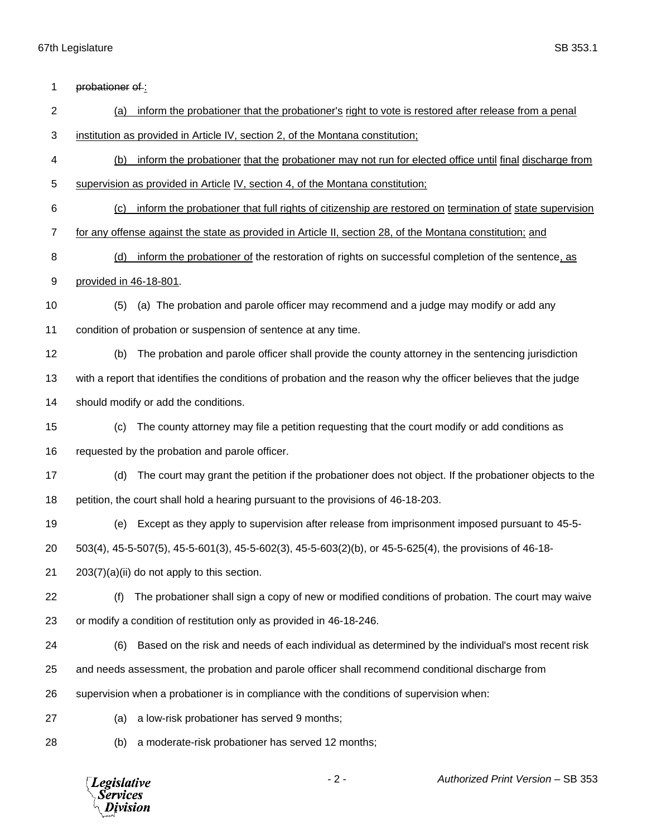*Legislative*<br>Services<br>*Division* 

| 1              | probationer of:                                                                                                  |
|----------------|------------------------------------------------------------------------------------------------------------------|
| $\overline{2}$ | inform the probationer that the probationer's right to vote is restored after release from a penal<br>(a)        |
| 3              | institution as provided in Article IV, section 2, of the Montana constitution;                                   |
| 4              | (b)<br>inform the probationer that the probationer may not run for elected office until final discharge from     |
| 5              | supervision as provided in Article IV, section 4, of the Montana constitution;                                   |
| 6              | inform the probationer that full rights of citizenship are restored on termination of state supervision<br>(c)   |
| $\overline{7}$ | for any offense against the state as provided in Article II, section 28, of the Montana constitution; and        |
| 8              | inform the probationer of the restoration of rights on successful completion of the sentence, as<br>(d)          |
| 9              | provided in 46-18-801.                                                                                           |
| 10             | (a) The probation and parole officer may recommend and a judge may modify or add any<br>(5)                      |
| 11             | condition of probation or suspension of sentence at any time.                                                    |
| 12             | The probation and parole officer shall provide the county attorney in the sentencing jurisdiction<br>(b)         |
| 13             | with a report that identifies the conditions of probation and the reason why the officer believes that the judge |
| 14             | should modify or add the conditions.                                                                             |
| 15             | The county attorney may file a petition requesting that the court modify or add conditions as<br>(c)             |
| 16             | requested by the probation and parole officer.                                                                   |
| 17             | The court may grant the petition if the probationer does not object. If the probationer objects to the<br>(d)    |
| 18             | petition, the court shall hold a hearing pursuant to the provisions of 46-18-203.                                |
| 19             | Except as they apply to supervision after release from imprisonment imposed pursuant to 45-5-<br>(e)             |
| 20             | 503(4), 45-5-507(5), 45-5-601(3), 45-5-602(3), 45-5-603(2)(b), or 45-5-625(4), the provisions of 46-18-          |
| 21             | $203(7)(a)(ii)$ do not apply to this section.                                                                    |
| 22             | The probationer shall sign a copy of new or modified conditions of probation. The court may waive<br>(f)         |
| 23             | or modify a condition of restitution only as provided in 46-18-246.                                              |
| 24             | Based on the risk and needs of each individual as determined by the individual's most recent risk<br>(6)         |
| 25             | and needs assessment, the probation and parole officer shall recommend conditional discharge from                |
| 26             | supervision when a probationer is in compliance with the conditions of supervision when:                         |
| 27             | a low-risk probationer has served 9 months;<br>(a)                                                               |
| 28             | a moderate-risk probationer has served 12 months;<br>(b)                                                         |
|                |                                                                                                                  |

- 2 - *Authorized Print Version* – SB 353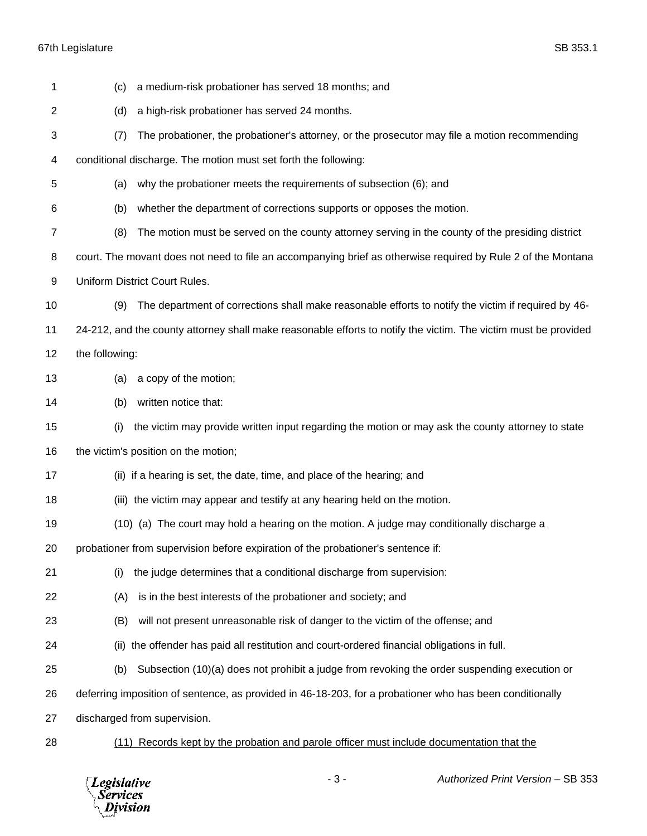## 67th Legislature SB 353.1

| 1  | (c)                                                                                                          | a medium-risk probationer has served 18 months; and                                                             |  |  |
|----|--------------------------------------------------------------------------------------------------------------|-----------------------------------------------------------------------------------------------------------------|--|--|
| 2  | (d)                                                                                                          | a high-risk probationer has served 24 months.                                                                   |  |  |
| 3  | (7)                                                                                                          | The probationer, the probationer's attorney, or the prosecutor may file a motion recommending                   |  |  |
| 4  |                                                                                                              | conditional discharge. The motion must set forth the following:                                                 |  |  |
| 5  | (a)                                                                                                          | why the probationer meets the requirements of subsection (6); and                                               |  |  |
| 6  | (b)                                                                                                          | whether the department of corrections supports or opposes the motion.                                           |  |  |
| 7  | (8)                                                                                                          | The motion must be served on the county attorney serving in the county of the presiding district                |  |  |
| 8  | court. The movant does not need to file an accompanying brief as otherwise required by Rule 2 of the Montana |                                                                                                                 |  |  |
| 9  | Uniform District Court Rules.                                                                                |                                                                                                                 |  |  |
| 10 | (9)                                                                                                          | The department of corrections shall make reasonable efforts to notify the victim if required by 46-             |  |  |
| 11 |                                                                                                              | 24-212, and the county attorney shall make reasonable efforts to notify the victim. The victim must be provided |  |  |
| 12 | the following:                                                                                               |                                                                                                                 |  |  |
| 13 | (a)                                                                                                          | a copy of the motion;                                                                                           |  |  |
| 14 | (b)                                                                                                          | written notice that:                                                                                            |  |  |
| 15 | (i)                                                                                                          | the victim may provide written input regarding the motion or may ask the county attorney to state               |  |  |
| 16 | the victim's position on the motion;                                                                         |                                                                                                                 |  |  |
| 17 |                                                                                                              | (ii) if a hearing is set, the date, time, and place of the hearing; and                                         |  |  |
| 18 |                                                                                                              | (iii) the victim may appear and testify at any hearing held on the motion.                                      |  |  |
| 19 |                                                                                                              | (10) (a) The court may hold a hearing on the motion. A judge may conditionally discharge a                      |  |  |
| 20 |                                                                                                              | probationer from supervision before expiration of the probationer's sentence if:                                |  |  |
| 21 | (i)                                                                                                          | the judge determines that a conditional discharge from supervision:                                             |  |  |
| 22 | (A)                                                                                                          | is in the best interests of the probationer and society; and                                                    |  |  |
| 23 | (B)                                                                                                          | will not present unreasonable risk of danger to the victim of the offense; and                                  |  |  |
| 24 |                                                                                                              | (ii) the offender has paid all restitution and court-ordered financial obligations in full.                     |  |  |
| 25 | (b)                                                                                                          | Subsection (10)(a) does not prohibit a judge from revoking the order suspending execution or                    |  |  |
| 26 |                                                                                                              | deferring imposition of sentence, as provided in 46-18-203, for a probationer who has been conditionally        |  |  |
| 27 |                                                                                                              | discharged from supervision.                                                                                    |  |  |
| 28 |                                                                                                              | (11) Records kept by the probation and parole officer must include documentation that the                       |  |  |
|    |                                                                                                              |                                                                                                                 |  |  |

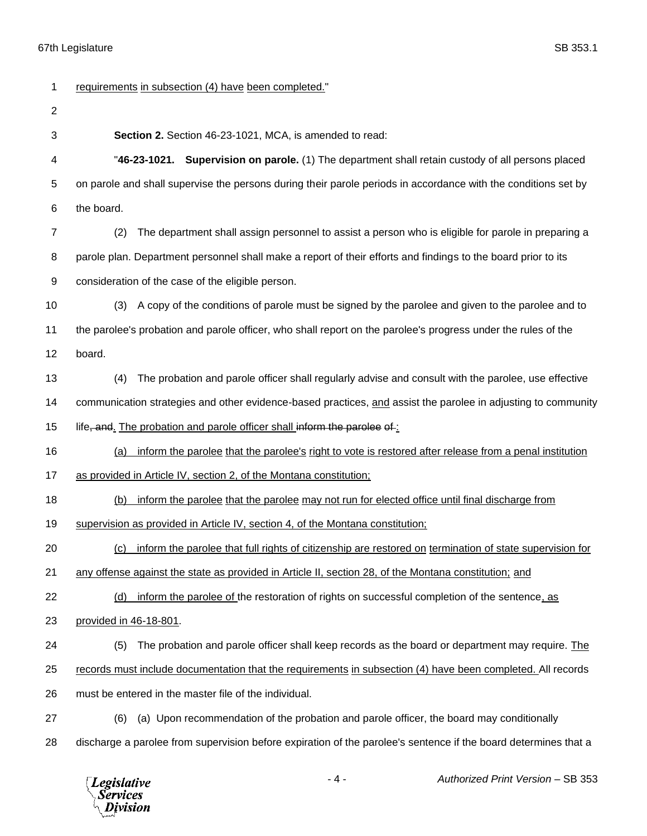| 1              | requirements in subsection (4) have been completed."                                                            |  |  |
|----------------|-----------------------------------------------------------------------------------------------------------------|--|--|
| $\overline{2}$ |                                                                                                                 |  |  |
| 3              | Section 2. Section 46-23-1021, MCA, is amended to read:                                                         |  |  |
| 4              | "46-23-1021. Supervision on parole. (1) The department shall retain custody of all persons placed               |  |  |
| 5              | on parole and shall supervise the persons during their parole periods in accordance with the conditions set by  |  |  |
| 6              | the board.                                                                                                      |  |  |
| 7              | The department shall assign personnel to assist a person who is eligible for parole in preparing a<br>(2)       |  |  |
| 8              | parole plan. Department personnel shall make a report of their efforts and findings to the board prior to its   |  |  |
| 9              | consideration of the case of the eligible person.                                                               |  |  |
| 10             | A copy of the conditions of parole must be signed by the parolee and given to the parolee and to<br>(3)         |  |  |
| 11             | the parolee's probation and parole officer, who shall report on the parolee's progress under the rules of the   |  |  |
| 12             | board.                                                                                                          |  |  |
| 13             | The probation and parole officer shall regularly advise and consult with the parolee, use effective<br>(4)      |  |  |
| 14             | communication strategies and other evidence-based practices, and assist the parolee in adjusting to community   |  |  |
| 15             | life, and. The probation and parole officer shall inform the parolee of:                                        |  |  |
| 16             | inform the parolee that the parolee's right to vote is restored after release from a penal institution<br>(a)   |  |  |
| 17             | as provided in Article IV, section 2, of the Montana constitution;                                              |  |  |
| 18             | inform the parolee that the parolee may not run for elected office until final discharge from<br>(b)            |  |  |
| 19             | supervision as provided in Article IV, section 4, of the Montana constitution;                                  |  |  |
| 20             | (c) inform the parolee that full rights of citizenship are restored on termination of state supervision for     |  |  |
| 21             | any offense against the state as provided in Article II, section 28, of the Montana constitution; and           |  |  |
| 22             | inform the parolee of the restoration of rights on successful completion of the sentence, as<br>(d)             |  |  |
| 23             | provided in 46-18-801.                                                                                          |  |  |
| 24             | (5)<br>The probation and parole officer shall keep records as the board or department may require. The          |  |  |
| 25             | records must include documentation that the requirements in subsection (4) have been completed. All records     |  |  |
| 26             | must be entered in the master file of the individual.                                                           |  |  |
| 27             | (a) Upon recommendation of the probation and parole officer, the board may conditionally<br>(6)                 |  |  |
| 28             | discharge a parolee from supervision before expiration of the parolee's sentence if the board determines that a |  |  |